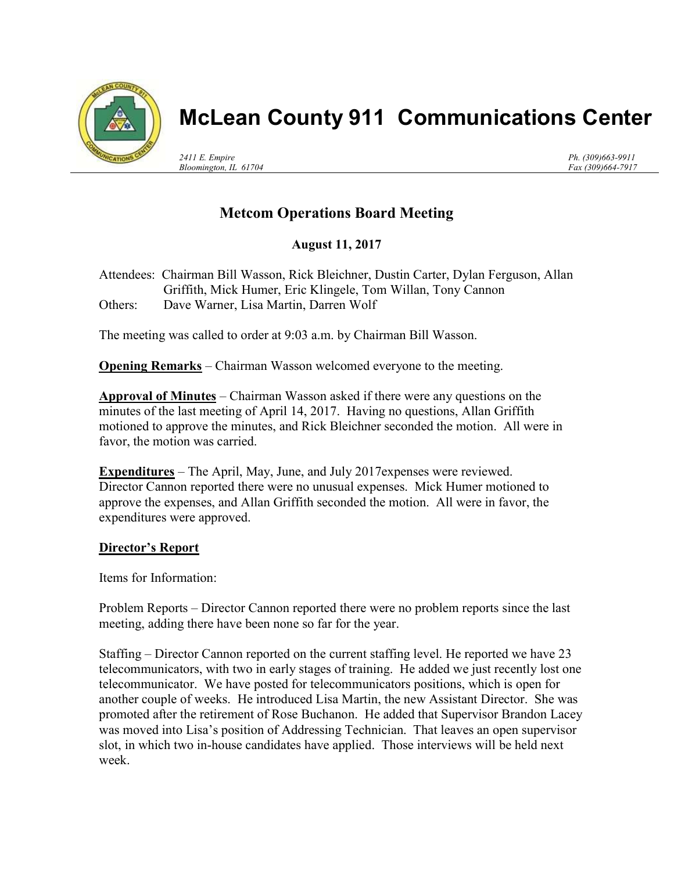

## McLean County 911 Communications Center

2411 E. Empire Bloomington, IL 61704 Ph. (309)663-9911 Fax (309)664-7917

## Metcom Operations Board Meeting

August 11, 2017

Attendees: Chairman Bill Wasson, Rick Bleichner, Dustin Carter, Dylan Ferguson, Allan Griffith, Mick Humer, Eric Klingele, Tom Willan, Tony Cannon Others: Dave Warner, Lisa Martin, Darren Wolf

The meeting was called to order at 9:03 a.m. by Chairman Bill Wasson.

Opening Remarks – Chairman Wasson welcomed everyone to the meeting.

Approval of Minutes – Chairman Wasson asked if there were any questions on the minutes of the last meeting of April 14, 2017. Having no questions, Allan Griffith motioned to approve the minutes, and Rick Bleichner seconded the motion. All were in favor, the motion was carried.

Expenditures – The April, May, June, and July 2017expenses were reviewed. Director Cannon reported there were no unusual expenses. Mick Humer motioned to approve the expenses, and Allan Griffith seconded the motion. All were in favor, the expenditures were approved.

## Director's Report

Items for Information:

Problem Reports – Director Cannon reported there were no problem reports since the last meeting, adding there have been none so far for the year.

Staffing – Director Cannon reported on the current staffing level. He reported we have 23 telecommunicators, with two in early stages of training. He added we just recently lost one telecommunicator. We have posted for telecommunicators positions, which is open for another couple of weeks. He introduced Lisa Martin, the new Assistant Director. She was promoted after the retirement of Rose Buchanon. He added that Supervisor Brandon Lacey was moved into Lisa's position of Addressing Technician. That leaves an open supervisor slot, in which two in-house candidates have applied. Those interviews will be held next week.